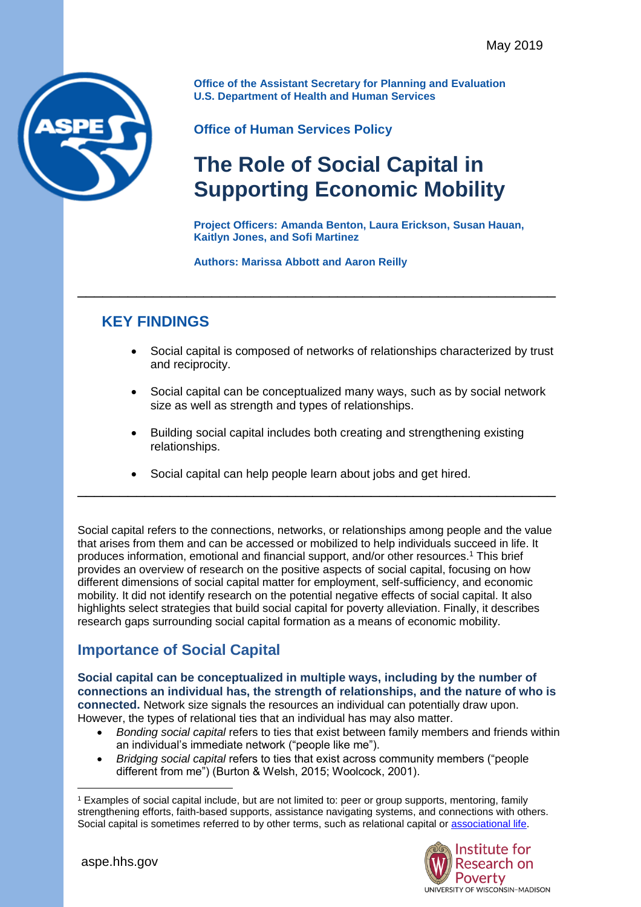

**Office of the Assistant Secretary for Planning and Evaluation U.S. Department of Health and Human Services**

**Office of Human Services Policy**

# **The Role of Social Capital in Supporting Economic Mobility**

**Project Officers: Amanda Benton, Laura Erickson, Susan Hauan, Kaitlyn Jones, and Sofi Martinez**

#### **Authors: Marissa Abbott and Aaron Reilly**

\_\_\_\_\_\_\_\_\_\_\_\_\_\_\_\_\_\_\_\_\_\_\_\_\_\_\_\_\_\_\_\_\_\_\_\_\_\_\_\_\_\_\_\_\_\_\_\_\_\_\_\_\_\_\_\_\_

# **KEY FINDINGS**

- Social capital is composed of networks of relationships characterized by trust and reciprocity.
- Social capital can be conceptualized many ways, such as by social network size as well as strength and types of relationships.
- Building social capital includes both creating and strengthening existing relationships.
- Social capital can help people learn about jobs and get hired.

Social capital refers to the connections, networks, or relationships among people and the value that arises from them and can be accessed or mobilized to help individuals succeed in life. It produces information, emotional and financial support, and/or other resources.<sup>1</sup> This brief provides an overview of research on the positive aspects of social capital, focusing on how different dimensions of social capital matter for employment, self-sufficiency, and economic mobility. It did not identify research on the potential negative effects of social capital. It also highlights select strategies that build social capital for poverty alleviation. Finally, it describes research gaps surrounding social capital formation as a means of economic mobility.

\_\_\_\_\_\_\_\_\_\_\_\_\_\_\_\_\_\_\_\_\_\_\_\_\_\_\_\_\_\_\_\_\_\_\_\_\_\_\_\_\_\_\_\_\_\_\_\_\_\_\_\_\_\_\_\_\_

## **Importance of Social Capital**

**Social capital can be conceptualized in multiple ways, including by the number of connections an individual has, the strength of relationships, and the nature of who is connected.** Network size signals the resources an individual can potentially draw upon. However, the types of relational ties that an individual has may also matter.

- *Bonding social capital* refers to ties that exist between family members and friends within an individual's immediate network ("people like me").
- *Bridging social capital* refers to ties that exist across community members ("people different from me") (Burton & Welsh, 2015; Woolcock, 2001).

<sup>1</sup> Examples of social capital include, but are not limited to: peer or group supports, mentoring, family strengthening efforts, faith-based supports, assistance navigating systems, and connections with others. Social capital is sometimes referred to by other terms, such as relational capital or [associational life.](https://www.jec.senate.gov/public/index.cfm/republicans/analysis?ID=82AEEDDA-B550-481E-BA31-9623B85A20D6)



 $\overline{a}$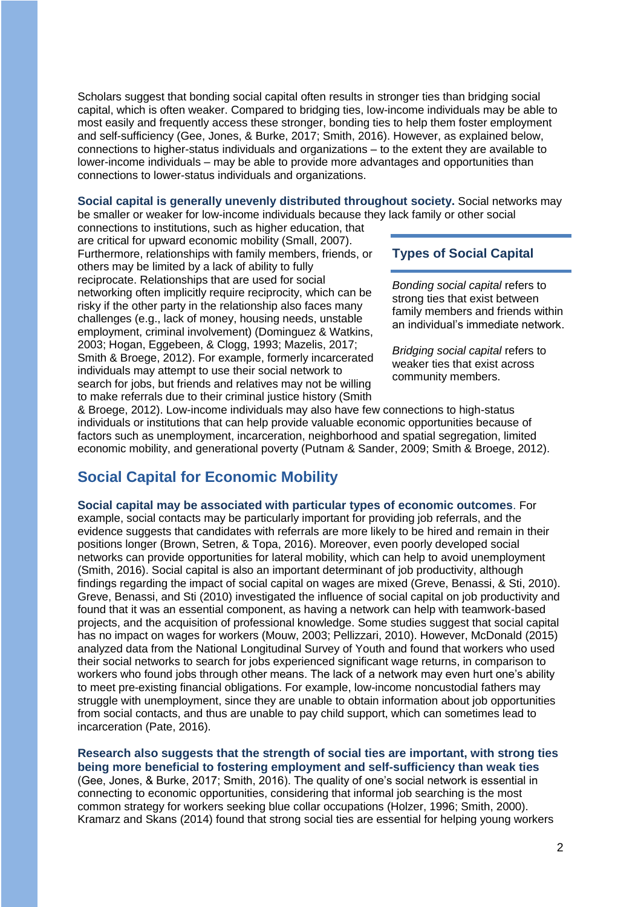Scholars suggest that bonding social capital often results in stronger ties than bridging social capital, which is often weaker. Compared to bridging ties, low-income individuals may be able to most easily and frequently access these stronger, bonding ties to help them foster employment and self-sufficiency (Gee, Jones, & Burke, 2017; Smith, 2016). However, as explained below, connections to higher-status individuals and organizations – to the extent they are available to lower-income individuals – may be able to provide more advantages and opportunities than connections to lower-status individuals and organizations.

**Social capital is generally unevenly distributed throughout society.** Social networks may be smaller or weaker for low-income individuals because they lack family or other social

connections to institutions, such as higher education, that are critical for upward economic mobility (Small, 2007). Furthermore, relationships with family members, friends, or others may be limited by a lack of ability to fully reciprocate. Relationships that are used for social networking often implicitly require reciprocity, which can be risky if the other party in the relationship also faces many challenges (e.g., lack of money, housing needs, unstable employment, criminal involvement) (Dominguez & Watkins, 2003; Hogan, Eggebeen, & Clogg, 1993; Mazelis, 2017; Smith & Broege, 2012). For example, formerly incarcerated individuals may attempt to use their social network to search for jobs, but friends and relatives may not be willing to make referrals due to their criminal justice history (Smith

#### **Types of Social Capital**

*Bonding social capital* refers to strong ties that exist between family members and friends within an individual's immediate network.

*Bridging social capital* refers to weaker ties that exist across community members.

& Broege, 2012). Low-income individuals may also have few connections to high-status individuals or institutions that can help provide valuable economic opportunities because of factors such as unemployment, incarceration, neighborhood and spatial segregation, limited economic mobility, and generational poverty (Putnam & Sander, 2009; Smith & Broege, 2012).

## **Social Capital for Economic Mobility**

**Social capital may be associated with particular types of economic outcomes**. For example, social contacts may be particularly important for providing job referrals, and the evidence suggests that candidates with referrals are more likely to be hired and remain in their positions longer (Brown, Setren, & Topa, 2016). Moreover, even poorly developed social networks can provide opportunities for lateral mobility, which can help to avoid unemployment (Smith, 2016). Social capital is also an important determinant of job productivity, although findings regarding the impact of social capital on wages are mixed (Greve, Benassi, & Sti, 2010). Greve, Benassi, and Sti (2010) investigated the influence of social capital on job productivity and found that it was an essential component, as having a network can help with teamwork-based projects, and the acquisition of professional knowledge. Some studies suggest that social capital has no impact on wages for workers (Mouw, 2003; Pellizzari, 2010). However, McDonald (2015) analyzed data from the National Longitudinal Survey of Youth and found that workers who used their social networks to search for jobs experienced significant wage returns, in comparison to workers who found jobs through other means. The lack of a network may even hurt one's ability to meet pre-existing financial obligations. For example, low-income noncustodial fathers may struggle with unemployment, since they are unable to obtain information about job opportunities from social contacts, and thus are unable to pay child support, which can sometimes lead to incarceration (Pate, 2016).

**Research also suggests that the strength of social ties are important, with strong ties being more beneficial to fostering employment and self-sufficiency than weak ties**

(Gee, Jones, & Burke, 2017; Smith, 2016). The quality of one's social network is essential in connecting to economic opportunities, considering that informal job searching is the most common strategy for workers seeking blue collar occupations (Holzer, 1996; Smith, 2000). Kramarz and Skans (2014) found that strong social ties are essential for helping young workers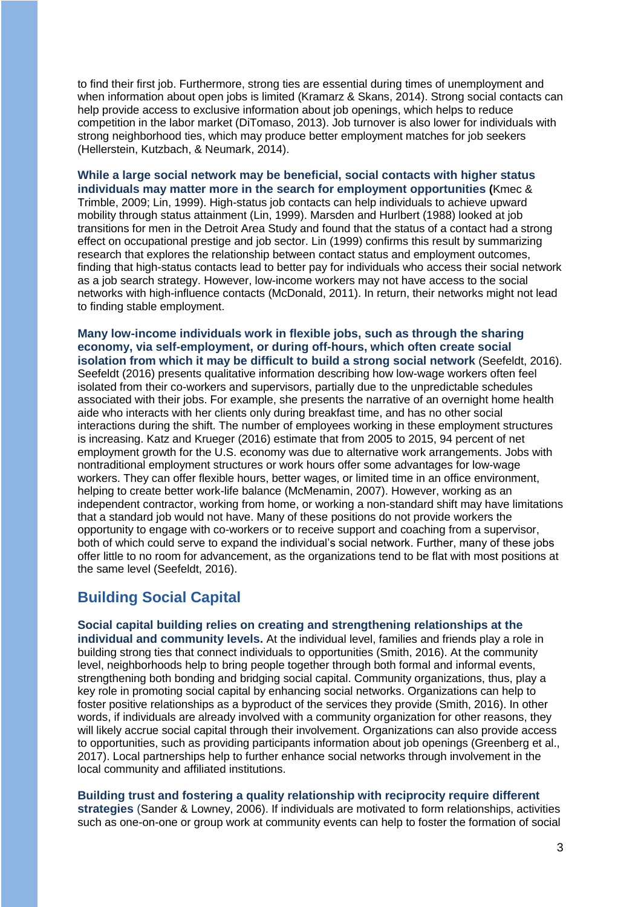to find their first job. Furthermore, strong ties are essential during times of unemployment and when information about open jobs is limited (Kramarz & Skans, 2014). Strong social contacts can help provide access to exclusive information about job openings, which helps to reduce competition in the labor market (DiTomaso, 2013). Job turnover is also lower for individuals with strong neighborhood ties, which may produce better employment matches for job seekers (Hellerstein, Kutzbach, & Neumark, 2014).

**While a large social network may be beneficial, social contacts with higher status individuals may matter more in the search for employment opportunities (**Kmec & Trimble, 2009; Lin, 1999). High-status job contacts can help individuals to achieve upward mobility through status attainment (Lin, 1999). Marsden and Hurlbert (1988) looked at job transitions for men in the Detroit Area Study and found that the status of a contact had a strong effect on occupational prestige and job sector. Lin (1999) confirms this result by summarizing research that explores the relationship between contact status and employment outcomes, finding that high-status contacts lead to better pay for individuals who access their social network as a job search strategy. However, low-income workers may not have access to the social networks with high-influence contacts (McDonald, 2011). In return, their networks might not lead to finding stable employment.

**Many low-income individuals work in flexible jobs, such as through the sharing economy, via self-employment, or during off-hours, which often create social isolation from which it may be difficult to build a strong social network** (Seefeldt, 2016). Seefeldt (2016) presents qualitative information describing how low-wage workers often feel isolated from their co-workers and supervisors, partially due to the unpredictable schedules associated with their jobs. For example, she presents the narrative of an overnight home health aide who interacts with her clients only during breakfast time, and has no other social interactions during the shift. The number of employees working in these employment structures is increasing. Katz and Krueger (2016) estimate that from 2005 to 2015, 94 percent of net employment growth for the U.S. economy was due to alternative work arrangements. Jobs with nontraditional employment structures or work hours offer some advantages for low-wage workers. They can offer flexible hours, better wages, or limited time in an office environment, helping to create better work-life balance (McMenamin, 2007). However, working as an independent contractor, working from home, or working a non-standard shift may have limitations that a standard job would not have. Many of these positions do not provide workers the opportunity to engage with co-workers or to receive support and coaching from a supervisor, both of which could serve to expand the individual's social network. Further, many of these jobs offer little to no room for advancement, as the organizations tend to be flat with most positions at the same level (Seefeldt, 2016).

## **Building Social Capital**

#### **Social capital building relies on creating and strengthening relationships at the**

**individual and community levels.** At the individual level, families and friends play a role in building strong ties that connect individuals to opportunities (Smith, 2016). At the community level, neighborhoods help to bring people together through both formal and informal events, strengthening both bonding and bridging social capital. Community organizations, thus, play a key role in promoting social capital by enhancing social networks. Organizations can help to foster positive relationships as a byproduct of the services they provide (Smith, 2016). In other words, if individuals are already involved with a community organization for other reasons, they will likely accrue social capital through their involvement. Organizations can also provide access to opportunities, such as providing participants information about job openings (Greenberg et al., 2017). Local partnerships help to further enhance social networks through involvement in the local community and affiliated institutions.

**Building trust and fostering a quality relationship with reciprocity require different strategies** (Sander & Lowney, 2006). If individuals are motivated to form relationships, activities such as one-on-one or group work at community events can help to foster the formation of social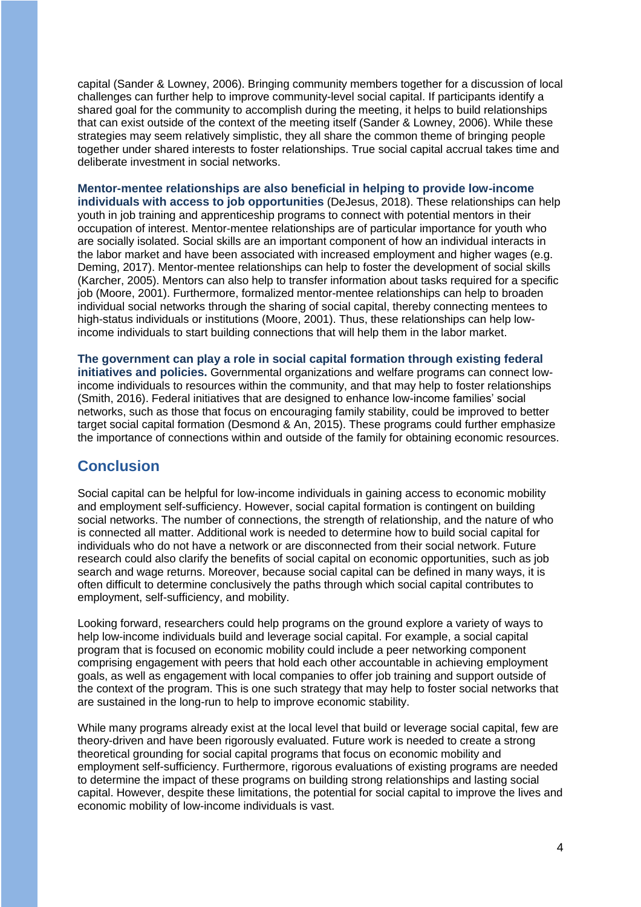capital (Sander & Lowney, 2006). Bringing community members together for a discussion of local challenges can further help to improve community-level social capital. If participants identify a shared goal for the community to accomplish during the meeting, it helps to build relationships that can exist outside of the context of the meeting itself (Sander & Lowney, 2006). While these strategies may seem relatively simplistic, they all share the common theme of bringing people together under shared interests to foster relationships. True social capital accrual takes time and deliberate investment in social networks.

#### **Mentor-mentee relationships are also beneficial in helping to provide low-income individuals with access to job opportunities** (DeJesus, 2018). These relationships can help youth in job training and apprenticeship programs to connect with potential mentors in their

occupation of interest. Mentor-mentee relationships are of particular importance for youth who are socially isolated. Social skills are an important component of how an individual interacts in the labor market and have been associated with increased employment and higher wages (e.g. Deming, 2017). Mentor-mentee relationships can help to foster the development of social skills (Karcher, 2005). Mentors can also help to transfer information about tasks required for a specific job (Moore, 2001). Furthermore, formalized mentor-mentee relationships can help to broaden individual social networks through the sharing of social capital, thereby connecting mentees to high-status individuals or institutions (Moore, 2001). Thus, these relationships can help lowincome individuals to start building connections that will help them in the labor market.

**The government can play a role in social capital formation through existing federal initiatives and policies.** Governmental organizations and welfare programs can connect lowincome individuals to resources within the community, and that may help to foster relationships (Smith, 2016). Federal initiatives that are designed to enhance low-income families' social networks, such as those that focus on encouraging family stability, could be improved to better target social capital formation (Desmond & An, 2015). These programs could further emphasize the importance of connections within and outside of the family for obtaining economic resources.

## **Conclusion**

Social capital can be helpful for low-income individuals in gaining access to economic mobility and employment self-sufficiency. However, social capital formation is contingent on building social networks. The number of connections, the strength of relationship, and the nature of who is connected all matter. Additional work is needed to determine how to build social capital for individuals who do not have a network or are disconnected from their social network. Future research could also clarify the benefits of social capital on economic opportunities, such as job search and wage returns. Moreover, because social capital can be defined in many ways, it is often difficult to determine conclusively the paths through which social capital contributes to employment, self-sufficiency, and mobility.

Looking forward, researchers could help programs on the ground explore a variety of ways to help low-income individuals build and leverage social capital. For example, a social capital program that is focused on economic mobility could include a peer networking component comprising engagement with peers that hold each other accountable in achieving employment goals, as well as engagement with local companies to offer job training and support outside of the context of the program. This is one such strategy that may help to foster social networks that are sustained in the long-run to help to improve economic stability.

While many programs already exist at the local level that build or leverage social capital, few are theory-driven and have been rigorously evaluated. Future work is needed to create a strong theoretical grounding for social capital programs that focus on economic mobility and employment self-sufficiency. Furthermore, rigorous evaluations of existing programs are needed to determine the impact of these programs on building strong relationships and lasting social capital. However, despite these limitations, the potential for social capital to improve the lives and economic mobility of low-income individuals is vast.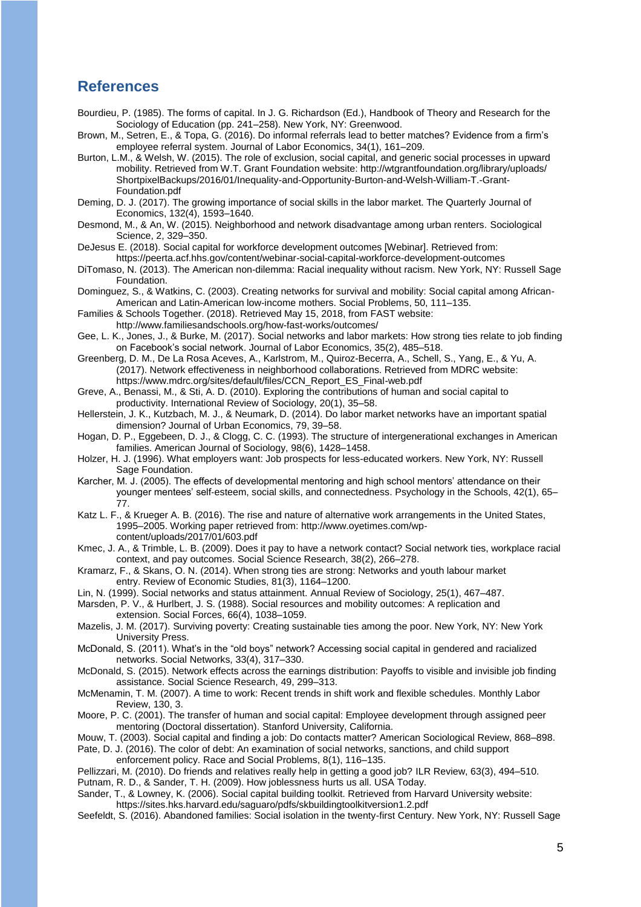### **References**

Bourdieu, P. (1985). The forms of capital. In J. G. Richardson (Ed.), Handbook of Theory and Research for the Sociology of Education (pp. 241–258). New York, NY: Greenwood.

Brown, M., Setren, E., & Topa, G. (2016). Do informal referrals lead to better matches? Evidence from a firm's employee referral system. Journal of Labor Economics, 34(1), 161–209.

Burton, L.M., & Welsh, W. (2015). The role of exclusion, social capital, and generic social processes in upward mobility. Retrieved from W.T. Grant Foundation website: http://wtgrantfoundation.org/library/uploads/ ShortpixelBackups/2016/01/Inequality-and-Opportunity-Burton-and-Welsh-William-T.-Grant-Foundation.pdf

Deming, D. J. (2017). The growing importance of social skills in the labor market. The Quarterly Journal of Economics, 132(4), 1593–1640.

Desmond, M., & An, W. (2015). Neighborhood and network disadvantage among urban renters. Sociological Science, 2, 329–350.

DeJesus E. (2018). Social capital for workforce development outcomes [Webinar]. Retrieved from: https://peerta.acf.hhs.gov/content/webinar-social-capital-workforce-development-outcomes

DiTomaso, N. (2013). The American non-dilemma: Racial inequality without racism. New York, NY: Russell Sage Foundation.

Dominguez, S., & Watkins, C. (2003). Creating networks for survival and mobility: Social capital among African-American and Latin-American low-income mothers. Social Problems, 50, 111–135.

Families & Schools Together. (2018). Retrieved May 15, 2018, from FAST website:

http://www.familiesandschools.org/how-fast-works/outcomes/

Gee, L. K., Jones, J., & Burke, M. (2017). Social networks and labor markets: How strong ties relate to job finding on Facebook's social network. Journal of Labor Economics, 35(2), 485–518.

Greenberg, D. M., De La Rosa Aceves, A., Karlstrom, M., Quiroz-Becerra, A., Schell, S., Yang, E., & Yu, A. (2017). Network effectiveness in neighborhood collaborations. Retrieved from MDRC website: https://www.mdrc.org/sites/default/files/CCN\_Report\_ES\_Final-web.pdf

Greve, A., Benassi, M., & Sti, A. D. (2010). Exploring the contributions of human and social capital to productivity. International Review of Sociology, 20(1), 35–58.

Hellerstein, J. K., Kutzbach, M. J., & Neumark, D. (2014). Do labor market networks have an important spatial dimension? Journal of Urban Economics, 79, 39–58.

Hogan, D. P., Eggebeen, D. J., & Clogg, C. C. (1993). The structure of intergenerational exchanges in American families. American Journal of Sociology, 98(6), 1428–1458.

Holzer, H. J. (1996). What employers want: Job prospects for less-educated workers. New York, NY: Russell Sage Foundation.

Karcher, M. J. (2005). The effects of developmental mentoring and high school mentors' attendance on their younger mentees' self-esteem, social skills, and connectedness. Psychology in the Schools, 42(1), 65– 77.

Katz L. F., & Krueger A. B. (2016). The rise and nature of alternative work arrangements in the United States, 1995–2005. Working paper retrieved from: http://www.oyetimes.com/wpcontent/uploads/2017/01/603.pdf

Kmec, J. A., & Trimble, L. B. (2009). Does it pay to have a network contact? Social network ties, workplace racial context, and pay outcomes. Social Science Research, 38(2), 266–278.

Kramarz, F., & Skans, O. N. (2014). When strong ties are strong: Networks and youth labour market entry. Review of Economic Studies, 81(3), 1164–1200.

Lin, N. (1999). Social networks and status attainment. Annual Review of Sociology, 25(1), 467–487.

Marsden, P. V., & Hurlbert, J. S. (1988). Social resources and mobility outcomes: A replication and extension. Social Forces, 66(4), 1038–1059.

Mazelis, J. M. (2017). Surviving poverty: Creating sustainable ties among the poor. New York, NY: New York University Press.

McDonald, S. (2011). What's in the "old boys" network? Accessing social capital in gendered and racialized networks. Social Networks, 33(4), 317–330.

McDonald, S. (2015). Network effects across the earnings distribution: Payoffs to visible and invisible job finding assistance. Social Science Research, 49, 299–313.

McMenamin, T. M. (2007). A time to work: Recent trends in shift work and flexible schedules. Monthly Labor Review, 130, 3.

Moore, P. C. (2001). The transfer of human and social capital: Employee development through assigned peer mentoring (Doctoral dissertation). Stanford University, California.

Mouw, T. (2003). Social capital and finding a job: Do contacts matter? American Sociological Review, 868–898.

Pate, D. J. (2016). The color of debt: An examination of social networks, sanctions, and child support

enforcement policy. Race and Social Problems, 8(1), 116–135.

Pellizzari, M. (2010). Do friends and relatives really help in getting a good job? ILR Review, 63(3), 494–510.

Putnam, R. D., & Sander, T. H. (2009). How joblessness hurts us all. USA Today.

Sander, T., & Lowney, K. (2006). Social capital building toolkit. Retrieved from Harvard University website: https://sites.hks.harvard.edu/saguaro/pdfs/skbuildingtoolkitversion1.2.pdf

Seefeldt, S. (2016). Abandoned families: Social isolation in the twenty-first Century. New York, NY: Russell Sage